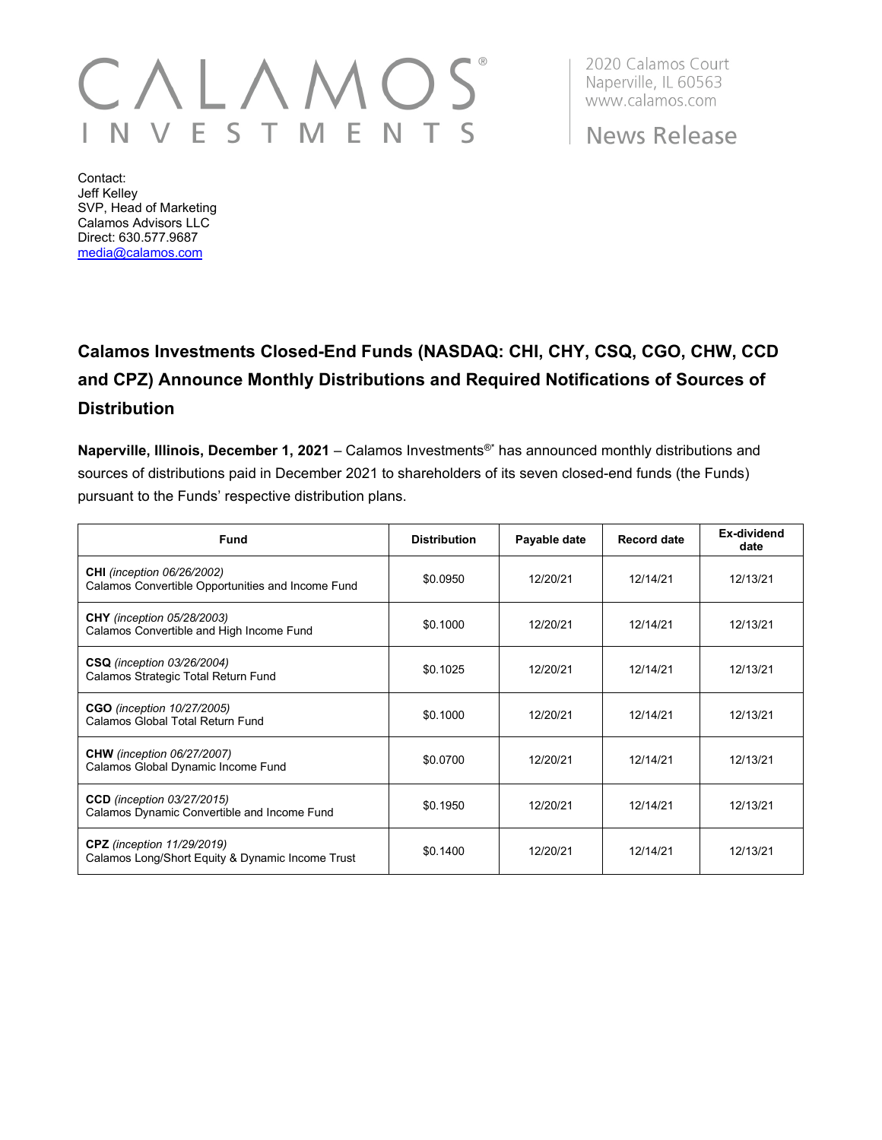## $\backslash$   $\lfloor$  / VEST M E N  $\mathsf{S}$

2020 Calamos Court Naperville, IL 60563 www.calamos.com

**News Release** 

Contact: Jeff Kelley SVP, Head of Marketing Calamos Advisors LLC Direct: 630.577.9687 [media@calamos.com](mailto:media@calamos.com)

## **Calamos Investments Closed-End Funds (NASDAQ: CHI, CHY, CSQ, CGO, CHW, CCD and CPZ) Announce Monthly Distributions and Required Notifications of Sources of Distribution**

**Naperville, Illinois, December 1, 2021** – Calamos Investments®\* has announced monthly distributions and sources of distributions paid in December 2021 to shareholders of its seven closed-end funds (the Funds) pursuant to the Funds' respective distribution plans.

| <b>Fund</b>                                                                            | <b>Distribution</b> | Payable date | <b>Record date</b> | Ex-dividend<br>date |
|----------------------------------------------------------------------------------------|---------------------|--------------|--------------------|---------------------|
| <b>CHI</b> (inception 06/26/2002)<br>Calamos Convertible Opportunities and Income Fund | \$0.0950            | 12/20/21     | 12/14/21           | 12/13/21            |
| <b>CHY</b> (inception 05/28/2003)<br>Calamos Convertible and High Income Fund          | \$0.1000            | 12/20/21     | 12/14/21           | 12/13/21            |
| <b>CSQ</b> (inception 03/26/2004)<br>Calamos Strategic Total Return Fund               | \$0.1025            | 12/20/21     | 12/14/21           | 12/13/21            |
| <b>CGO</b> (inception 10/27/2005)<br>Calamos Global Total Return Fund                  | \$0.1000            | 12/20/21     | 12/14/21           | 12/13/21            |
| <b>CHW</b> (inception 06/27/2007)<br>Calamos Global Dynamic Income Fund                | \$0.0700            | 12/20/21     | 12/14/21           | 12/13/21            |
| <b>CCD</b> (inception 03/27/2015)<br>Calamos Dynamic Convertible and Income Fund       | \$0.1950            | 12/20/21     | 12/14/21           | 12/13/21            |
| <b>CPZ</b> (inception 11/29/2019)<br>Calamos Long/Short Equity & Dynamic Income Trust  | \$0.1400            | 12/20/21     | 12/14/21           | 12/13/21            |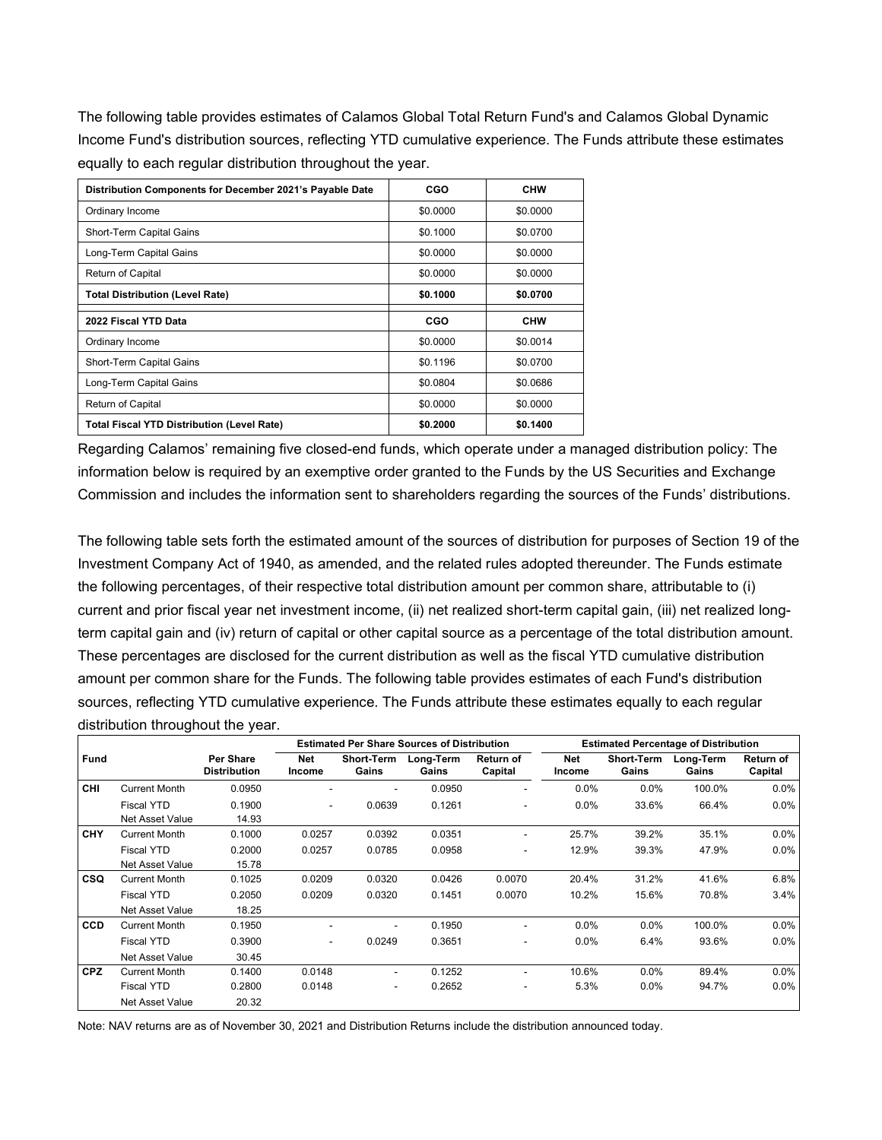The following table provides estimates of Calamos Global Total Return Fund's and Calamos Global Dynamic Income Fund's distribution sources, reflecting YTD cumulative experience. The Funds attribute these estimates equally to each regular distribution throughout the year.

| Distribution Components for December 2021's Payable Date | CGO      | <b>CHW</b> |
|----------------------------------------------------------|----------|------------|
| Ordinary Income                                          | \$0,0000 | \$0.0000   |
| Short-Term Capital Gains                                 | \$0.1000 | \$0.0700   |
| Long-Term Capital Gains                                  | \$0,0000 | \$0.0000   |
| Return of Capital                                        | \$0,0000 | \$0.0000   |
| <b>Total Distribution (Level Rate)</b>                   | \$0.1000 | \$0.0700   |
| 2022 Fiscal YTD Data                                     | CGO      | <b>CHW</b> |
| Ordinary Income                                          | \$0.0000 | \$0.0014   |
| Short-Term Capital Gains                                 | \$0.1196 | \$0.0700   |
| Long-Term Capital Gains                                  | \$0.0804 | \$0.0686   |
| Return of Capital                                        | \$0.0000 | \$0.0000   |
| <b>Total Fiscal YTD Distribution (Level Rate)</b>        | \$0.2000 | \$0.1400   |

Regarding Calamos' remaining five closed-end funds, which operate under a managed distribution policy: The information below is required by an exemptive order granted to the Funds by the US Securities and Exchange Commission and includes the information sent to shareholders regarding the sources of the Funds' distributions.

The following table sets forth the estimated amount of the sources of distribution for purposes of Section 19 of the Investment Company Act of 1940, as amended, and the related rules adopted thereunder. The Funds estimate the following percentages, of their respective total distribution amount per common share, attributable to (i) current and prior fiscal year net investment income, (ii) net realized short-term capital gain, (iii) net realized longterm capital gain and (iv) return of capital or other capital source as a percentage of the total distribution amount. These percentages are disclosed for the current distribution as well as the fiscal YTD cumulative distribution amount per common share for the Funds. The following table provides estimates of each Fund's distribution sources, reflecting YTD cumulative experience. The Funds attribute these estimates equally to each regular distribution throughout the year.

|             |                                      |                                  | <b>Estimated Per Share Sources of Distribution</b> |                            |                    |                          | <b>Estimated Percentage of Distribution</b> |                            |                    |                      |
|-------------|--------------------------------------|----------------------------------|----------------------------------------------------|----------------------------|--------------------|--------------------------|---------------------------------------------|----------------------------|--------------------|----------------------|
| <b>Fund</b> |                                      | Per Share<br><b>Distribution</b> | <b>Net</b><br>Income                               | <b>Short-Term</b><br>Gains | Long-Term<br>Gains | Return of<br>Capital     | <b>Net</b><br>Income                        | <b>Short-Term</b><br>Gains | Long-Term<br>Gains | Return of<br>Capital |
| <b>CHI</b>  | <b>Current Month</b>                 | 0.0950                           | -                                                  | ۰                          | 0.0950             | $\overline{\phantom{a}}$ | $0.0\%$                                     | $0.0\%$                    | 100.0%             | 0.0%                 |
|             | <b>Fiscal YTD</b><br>Net Asset Value | 0.1900<br>14.93                  | ۰                                                  | 0.0639                     | 0.1261             | $\blacksquare$           | $0.0\%$                                     | 33.6%                      | 66.4%              | 0.0%                 |
| CHY         | <b>Current Month</b>                 | 0.1000                           | 0.0257                                             | 0.0392                     | 0.0351             | $\overline{\phantom{a}}$ | 25.7%                                       | 39.2%                      | 35.1%              | $0.0\%$              |
|             | Fiscal YTD                           | 0.2000                           | 0.0257                                             | 0.0785                     | 0.0958             | ٠                        | 12.9%                                       | 39.3%                      | 47.9%              | $0.0\%$              |
|             | Net Asset Value                      | 15.78                            |                                                    |                            |                    |                          |                                             |                            |                    |                      |
| <b>CSQ</b>  | <b>Current Month</b>                 | 0.1025                           | 0.0209                                             | 0.0320                     | 0.0426             | 0.0070                   | 20.4%                                       | 31.2%                      | 41.6%              | 6.8%                 |
|             | Fiscal YTD                           | 0.2050                           | 0.0209                                             | 0.0320                     | 0.1451             | 0.0070                   | 10.2%                                       | 15.6%                      | 70.8%              | 3.4%                 |
|             | <b>Net Asset Value</b>               | 18.25                            |                                                    |                            |                    |                          |                                             |                            |                    |                      |
| <b>CCD</b>  | <b>Current Month</b>                 | 0.1950                           |                                                    |                            | 0.1950             | $\overline{\phantom{a}}$ | 0.0%                                        | 0.0%                       | 100.0%             | 0.0%                 |
|             | <b>Fiscal YTD</b>                    | 0.3900                           | $\overline{\phantom{0}}$                           | 0.0249                     | 0.3651             | ٠                        | $0.0\%$                                     | 6.4%                       | 93.6%              | 0.0%                 |
|             | Net Asset Value                      | 30.45                            |                                                    |                            |                    |                          |                                             |                            |                    |                      |
| <b>CPZ</b>  | <b>Current Month</b>                 | 0.1400                           | 0.0148                                             | $\overline{\phantom{0}}$   | 0.1252             | $\blacksquare$           | 10.6%                                       | $0.0\%$                    | 89.4%              | 0.0%                 |
|             | Fiscal YTD                           | 0.2800                           | 0.0148                                             | ۰                          | 0.2652             | $\blacksquare$           | 5.3%                                        | $0.0\%$                    | 94.7%              | $0.0\%$              |
|             | <b>Net Asset Value</b>               | 20.32                            |                                                    |                            |                    |                          |                                             |                            |                    |                      |

Note: NAV returns are as of November 30, 2021 and Distribution Returns include the distribution announced today.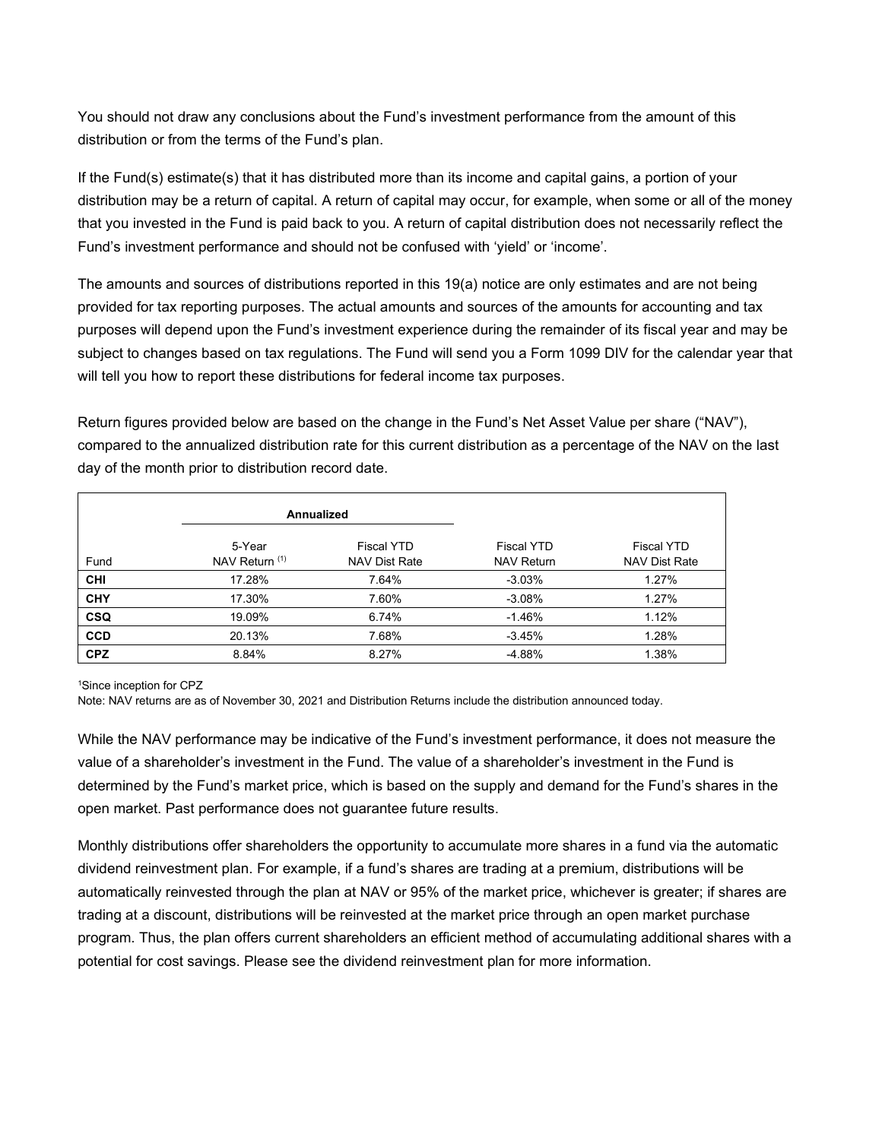You should not draw any conclusions about the Fund's investment performance from the amount of this distribution or from the terms of the Fund's plan.

If the Fund(s) estimate(s) that it has distributed more than its income and capital gains, a portion of your distribution may be a return of capital. A return of capital may occur, for example, when some or all of the money that you invested in the Fund is paid back to you. A return of capital distribution does not necessarily reflect the Fund's investment performance and should not be confused with 'yield' or 'income'.

The amounts and sources of distributions reported in this 19(a) notice are only estimates and are not being provided for tax reporting purposes. The actual amounts and sources of the amounts for accounting and tax purposes will depend upon the Fund's investment experience during the remainder of its fiscal year and may be subject to changes based on tax regulations. The Fund will send you a Form 1099 DIV for the calendar year that will tell you how to report these distributions for federal income tax purposes.

Return figures provided below are based on the change in the Fund's Net Asset Value per share ("NAV"), compared to the annualized distribution rate for this current distribution as a percentage of the NAV on the last day of the month prior to distribution record date.

|            |                          | Annualized                                |                                        |                                           |
|------------|--------------------------|-------------------------------------------|----------------------------------------|-------------------------------------------|
| Fund       | 5-Year<br>NAV Return (1) | <b>Fiscal YTD</b><br><b>NAV Dist Rate</b> | <b>Fiscal YTD</b><br><b>NAV Return</b> | <b>Fiscal YTD</b><br><b>NAV Dist Rate</b> |
| <b>CHI</b> | 17.28%                   | 7.64%                                     | $-3.03%$                               | 1.27%                                     |
| <b>CHY</b> | 17.30%                   | 7.60%                                     | $-3.08%$                               | 1.27%                                     |
| <b>CSQ</b> | 19.09%                   | 6.74%                                     | $-1.46%$                               | 1.12%                                     |
| <b>CCD</b> | 20.13%                   | 7.68%                                     | $-3.45%$                               | 1.28%                                     |
| <b>CPZ</b> | 8.84%                    | 8.27%                                     | -4.88%                                 | 1.38%                                     |

1 Since inception for CPZ

Note: NAV returns are as of November 30, 2021 and Distribution Returns include the distribution announced today.

While the NAV performance may be indicative of the Fund's investment performance, it does not measure the value of a shareholder's investment in the Fund. The value of a shareholder's investment in the Fund is determined by the Fund's market price, which is based on the supply and demand for the Fund's shares in the open market. Past performance does not guarantee future results.

Monthly distributions offer shareholders the opportunity to accumulate more shares in a fund via the automatic dividend reinvestment plan. For example, if a fund's shares are trading at a premium, distributions will be automatically reinvested through the plan at NAV or 95% of the market price, whichever is greater; if shares are trading at a discount, distributions will be reinvested at the market price through an open market purchase program. Thus, the plan offers current shareholders an efficient method of accumulating additional shares with a potential for cost savings. Please see the dividend reinvestment plan for more information.